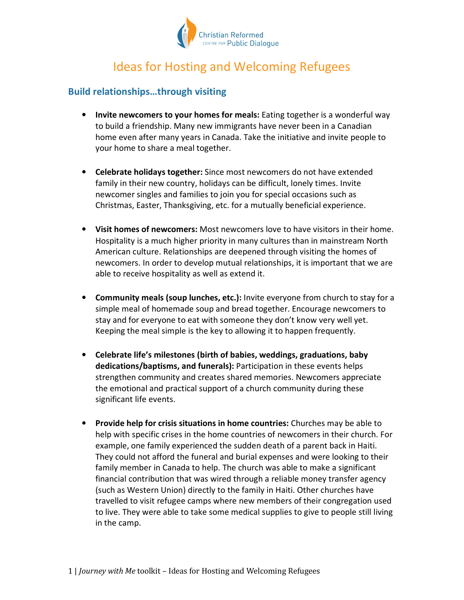

# Ideas for Hosting and Welcoming Refugees

#### **Build relationships…through visiting**

- **Invite newcomers to your homes for meals:** Eating together is a wonderful way to build a friendship. Many new immigrants have never been in a Canadian home even after many years in Canada. Take the initiative and invite people to your home to share a meal together.
- **Celebrate holidays together:** Since most newcomers do not have extended family in their new country, holidays can be difficult, lonely times. Invite newcomer singles and families to join you for special occasions such as Christmas, Easter, Thanksgiving, etc. for a mutually beneficial experience.
- **Visit homes of newcomers:** Most newcomers love to have visitors in their home. Hospitality is a much higher priority in many cultures than in mainstream North American culture. Relationships are deepened through visiting the homes of newcomers. In order to develop mutual relationships, it is important that we are able to receive hospitality as well as extend it.
- **Community meals (soup lunches, etc.):** Invite everyone from church to stay for a simple meal of homemade soup and bread together. Encourage newcomers to stay and for everyone to eat with someone they don't know very well yet. Keeping the meal simple is the key to allowing it to happen frequently.
- **Celebrate life's milestones (birth of babies, weddings, graduations, baby dedications/baptisms, and funerals):** Participation in these events helps strengthen community and creates shared memories. Newcomers appreciate the emotional and practical support of a church community during these significant life events.
- **Provide help for crisis situations in home countries:** Churches may be able to help with specific crises in the home countries of newcomers in their church. For example, one family experienced the sudden death of a parent back in Haiti. They could not afford the funeral and burial expenses and were looking to their family member in Canada to help. The church was able to make a significant financial contribution that was wired through a reliable money transfer agency (such as Western Union) directly to the family in Haiti. Other churches have travelled to visit refugee camps where new members of their congregation used to live. They were able to take some medical supplies to give to people still living in the camp.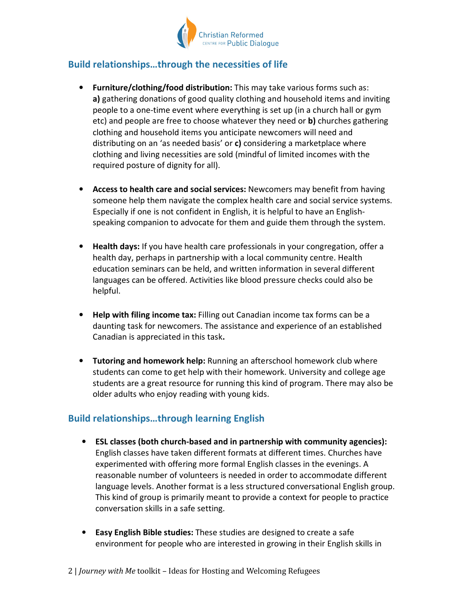

### **Build relationships…through the necessities of life**

- **Furniture/clothing/food distribution:** This may take various forms such as: **a)** gathering donations of good quality clothing and household items and inviting people to a one-time event where everything is set up (in a church hall or gym etc) and people are free to choose whatever they need or **b)** churches gathering clothing and household items you anticipate newcomers will need and distributing on an 'as needed basis' or **c)** considering a marketplace where clothing and living necessities are sold (mindful of limited incomes with the required posture of dignity for all).
- **Access to health care and social services:** Newcomers may benefit from having someone help them navigate the complex health care and social service systems. Especially if one is not confident in English, it is helpful to have an Englishspeaking companion to advocate for them and guide them through the system.
- **Health days:** If you have health care professionals in your congregation, offer a health day, perhaps in partnership with a local community centre. Health education seminars can be held, and written information in several different languages can be offered. Activities like blood pressure checks could also be helpful.
- **Help with filing income tax:** Filling out Canadian income tax forms can be a daunting task for newcomers. The assistance and experience of an established Canadian is appreciated in this task**.**
- **Tutoring and homework help:** Running an afterschool homework club where students can come to get help with their homework. University and college age students are a great resource for running this kind of program. There may also be older adults who enjoy reading with young kids.

## **Build relationships…through learning English**

- **ESL classes (both church-based and in partnership with community agencies):**  English classes have taken different formats at different times. Churches have experimented with offering more formal English classes in the evenings. A reasonable number of volunteers is needed in order to accommodate different language levels. Another format is a less structured conversational English group. This kind of group is primarily meant to provide a context for people to practice conversation skills in a safe setting.
- **Easy English Bible studies:** These studies are designed to create a safe environment for people who are interested in growing in their English skills in